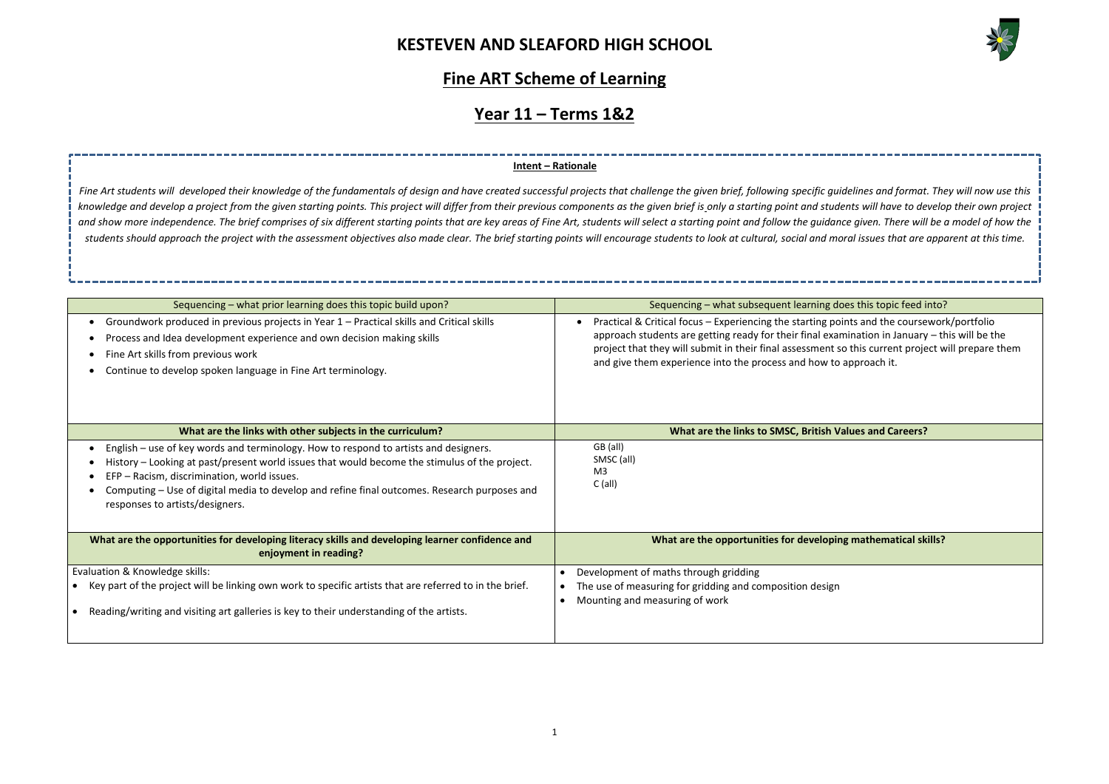

oes this topic feed into?

oints and the coursework/portfolio amination in January – this will be the so this current project will prepare them approach it.

**Mathematical skills?** 

### **Fine ART Scheme of Learning**

## **Year 11 – Terms 1&2**

| Sequencing – what prior learning does this topic build upon?                                                                                                                                                                                                                                                                                                            | Sequencing - what subsequent learning does this topic feed i                                                                                                                                                                                                                                                     |
|-------------------------------------------------------------------------------------------------------------------------------------------------------------------------------------------------------------------------------------------------------------------------------------------------------------------------------------------------------------------------|------------------------------------------------------------------------------------------------------------------------------------------------------------------------------------------------------------------------------------------------------------------------------------------------------------------|
| Groundwork produced in previous projects in Year 1 – Practical skills and Critical skills<br>Process and Idea development experience and own decision making skills<br>Fine Art skills from previous work<br>Continue to develop spoken language in Fine Art terminology.                                                                                               | Practical & Critical focus - Experiencing the starting points and the course<br>approach students are getting ready for their final examination in January<br>project that they will submit in their final assessment so this current proje<br>and give them experience into the process and how to approach it. |
| What are the links with other subjects in the curriculum?                                                                                                                                                                                                                                                                                                               | What are the links to SMSC, British Values and Careers?                                                                                                                                                                                                                                                          |
| English – use of key words and terminology. How to respond to artists and designers.<br>History - Looking at past/present world issues that would become the stimulus of the project.<br>EFP - Racism, discrimination, world issues.<br>Computing - Use of digital media to develop and refine final outcomes. Research purposes and<br>responses to artists/designers. | GB (all)<br>SMSC (all)<br>M <sub>3</sub><br>$C$ (all)                                                                                                                                                                                                                                                            |
| What are the opportunities for developing literacy skills and developing learner confidence and<br>enjoyment in reading?                                                                                                                                                                                                                                                | What are the opportunities for developing mathematical sk                                                                                                                                                                                                                                                        |
| Evaluation & Knowledge skills:<br>Key part of the project will be linking own work to specific artists that are referred to in the brief.<br>Reading/writing and visiting art galleries is key to their understanding of the artists.                                                                                                                                   | Development of maths through gridding<br>The use of measuring for gridding and composition design<br>Mounting and measuring of work                                                                                                                                                                              |

Fine Art students will developed their knowledge of the fundamentals of design and have created successful projects that challenge the given brief, following specific quidelines and format. They will now use this knowledge and develop a project from the given starting points. This project will differ from their previous components as the given brief is only a starting point and students will have to develop their own project and show more independence. The brief comprises of six different starting points that are key areas of Fine Art, students will select a starting point and follow the quidance given. There will be a model of how the *students should approach the project with the assessment objectives also made clear. The brief starting points will encourage students to look at cultural, social and moral issues that are apparent at this time.* 

### **Intent – Rationale**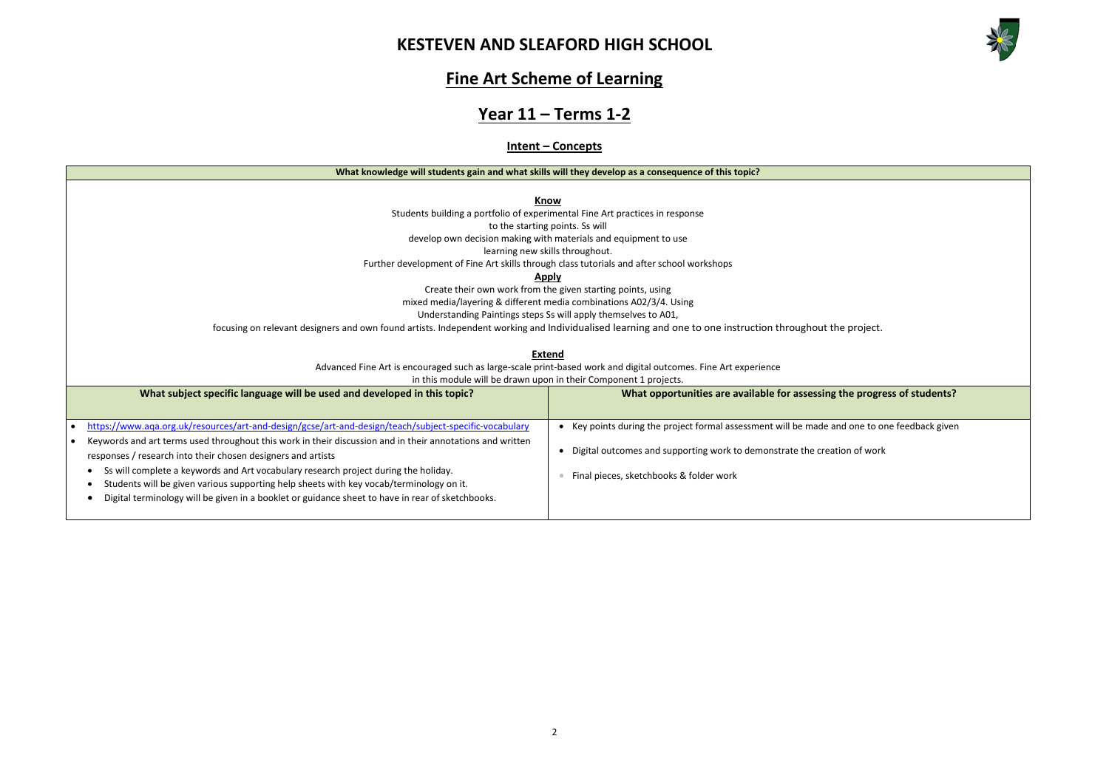

**Whe progress of students?** I one to one feedback given n of work

### **Fine Art Scheme of Learning**

### **Year 11 – Terms 1-2**

### **Intent – Concepts**

#### **What knowledge will students gain and what skills will they develop as a consequence of this topic?**

**Know**

Students building a portfolio of experimental Fine Art practices in response

to the starting points. Ss will

develop own decision making with materials and equipment to use

learning new skills throughout.

Further development of Fine Art skills through class tutorials and after school workshops

### **Apply**

Create their own work from the given starting points, using

mixed media/layering & different media combinations A02/3/4. Using

Understanding Paintings steps Ss will apply themselves to A01,

focusing on relevant designers and own found artists. Independent working and Individualised learning and one to one instruction throughout the project.

#### **Extend**

Advanced Fine Art is encouraged such as large-scale print-based work and digital outcomes. Fine Art experience

in this module will be drawn upon in their Component 1 projects.

| What subject specific language will be used and developed in this topic?                                                                                                                                                                                                                                                                                                                                                                                        | What opportunities are available for assessing the                                                         |  |  |  |
|-----------------------------------------------------------------------------------------------------------------------------------------------------------------------------------------------------------------------------------------------------------------------------------------------------------------------------------------------------------------------------------------------------------------------------------------------------------------|------------------------------------------------------------------------------------------------------------|--|--|--|
| https://www.aqa.org.uk/resources/art-and-design/gcse/art-and-design/teach/subject-specific-vocabulary                                                                                                                                                                                                                                                                                                                                                           | Key points during the project formal assessment will be made and                                           |  |  |  |
| Keywords and art terms used throughout this work in their discussion and in their annotations and written<br>responses / research into their chosen designers and artists<br>Ss will complete a keywords and Art vocabulary research project during the holiday.<br>Students will be given various supporting help sheets with key vocab/terminology on it.<br>Digital terminology will be given in a booklet or guidance sheet to have in rear of sketchbooks. | Digital outcomes and supporting work to demonstrate the creatio<br>Final pieces, sketchbooks & folder work |  |  |  |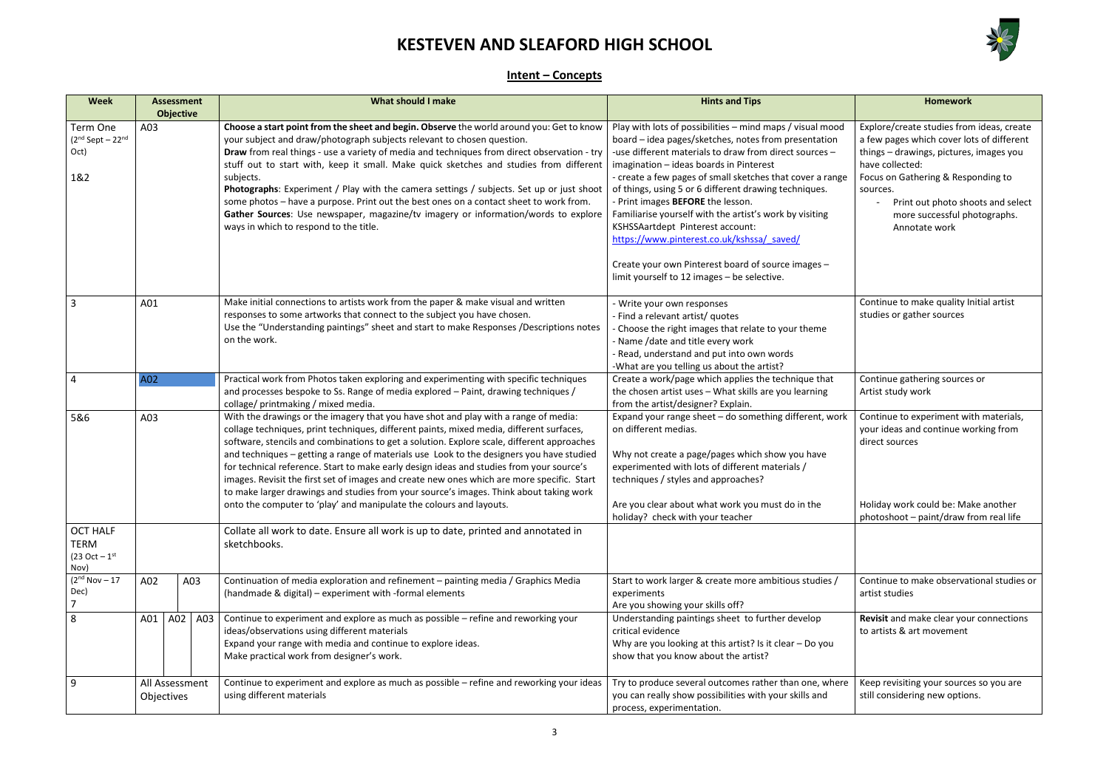

### **Intent – Concepts**

| <b>Week</b>                                                |     | <b>Assessment</b>            | <b>What should I make</b>                                                                                                                                                                                                                                                                                                                                                                                                                                                                                                                                                                                                                                                                                                            | <b>Hints and Tips</b>                                                                                                                                                                                                                                                                                                                                                                                                                                                                                                                                                                                                              | <b>Homework</b>                                                                                                                                                                                                                                                                              |
|------------------------------------------------------------|-----|------------------------------|--------------------------------------------------------------------------------------------------------------------------------------------------------------------------------------------------------------------------------------------------------------------------------------------------------------------------------------------------------------------------------------------------------------------------------------------------------------------------------------------------------------------------------------------------------------------------------------------------------------------------------------------------------------------------------------------------------------------------------------|------------------------------------------------------------------------------------------------------------------------------------------------------------------------------------------------------------------------------------------------------------------------------------------------------------------------------------------------------------------------------------------------------------------------------------------------------------------------------------------------------------------------------------------------------------------------------------------------------------------------------------|----------------------------------------------------------------------------------------------------------------------------------------------------------------------------------------------------------------------------------------------------------------------------------------------|
| Term One<br>$(2nd Sept - 22nd)$<br>Oct)<br>1&2             | A03 | <b>Objective</b>             | Choose a start point from the sheet and begin. Observe the world around you: Get to know<br>your subject and draw/photograph subjects relevant to chosen question.<br>Draw from real things - use a variety of media and techniques from direct observation - try<br>stuff out to start with, keep it small. Make quick sketches and studies from different<br>subjects.<br>Photographs: Experiment / Play with the camera settings / subjects. Set up or just shoot<br>some photos - have a purpose. Print out the best ones on a contact sheet to work from.<br>Gather Sources: Use newspaper, magazine/tv imagery or information/words to explore<br>ways in which to respond to the title.                                       | Play with lots of possibilities - mind maps / visual mood<br>board - idea pages/sketches, notes from presentation<br>-use different materials to draw from direct sources -<br>imagination - ideas boards in Pinterest<br>- create a few pages of small sketches that cover a range<br>of things, using 5 or 6 different drawing techniques.<br>- Print images BEFORE the lesson.<br>Familiarise yourself with the artist's work by visiting<br>KSHSSAartdept Pinterest account:<br>https://www.pinterest.co.uk/kshssa/saved/<br>Create your own Pinterest board of source images -<br>limit yourself to 12 images - be selective. | Explore/create studies from ideas, create<br>a few pages which cover lots of different<br>things - drawings, pictures, images you<br>have collected:<br>Focus on Gathering & Responding to<br>sources.<br>Print out photo shoots and select<br>more successful photographs.<br>Annotate work |
| 3                                                          | A01 |                              | Make initial connections to artists work from the paper & make visual and written<br>responses to some artworks that connect to the subject you have chosen.<br>Use the "Understanding paintings" sheet and start to make Responses /Descriptions notes<br>on the work.                                                                                                                                                                                                                                                                                                                                                                                                                                                              | - Write your own responses<br>- Find a relevant artist/ quotes<br>- Choose the right images that relate to your theme<br>- Name /date and title every work<br>- Read, understand and put into own words<br>-What are you telling us about the artist?                                                                                                                                                                                                                                                                                                                                                                              | Continue to make quality Initial artist<br>studies or gather sources                                                                                                                                                                                                                         |
|                                                            | A02 |                              | Practical work from Photos taken exploring and experimenting with specific techniques<br>and processes bespoke to Ss. Range of media explored - Paint, drawing techniques /<br>collage/ printmaking / mixed media.                                                                                                                                                                                                                                                                                                                                                                                                                                                                                                                   | Create a work/page which applies the technique that<br>the chosen artist uses - What skills are you learning<br>from the artist/designer? Explain.                                                                                                                                                                                                                                                                                                                                                                                                                                                                                 | Continue gathering sources or<br>Artist study work                                                                                                                                                                                                                                           |
| 5&6                                                        | A03 |                              | With the drawings or the imagery that you have shot and play with a range of media:<br>collage techniques, print techniques, different paints, mixed media, different surfaces,<br>software, stencils and combinations to get a solution. Explore scale, different approaches<br>and techniques - getting a range of materials use Look to the designers you have studied<br>for technical reference. Start to make early design ideas and studies from your source's<br>images. Revisit the first set of images and create new ones which are more specific. Start<br>to make larger drawings and studies from your source's images. Think about taking work<br>onto the computer to 'play' and manipulate the colours and layouts. | Expand your range sheet - do something different, work<br>on different medias.<br>Why not create a page/pages which show you have<br>experimented with lots of different materials /<br>techniques / styles and approaches?<br>Are you clear about what work you must do in the                                                                                                                                                                                                                                                                                                                                                    | Continue to experiment with materials,<br>your ideas and continue working from<br>direct sources<br>Holiday work could be: Make another                                                                                                                                                      |
| <b>OCT HALF</b><br><b>TERM</b><br>$(23 Oct - 1st)$<br>Nov) |     |                              | Collate all work to date. Ensure all work is up to date, printed and annotated in<br>sketchbooks.                                                                                                                                                                                                                                                                                                                                                                                                                                                                                                                                                                                                                                    | holiday? check with your teacher                                                                                                                                                                                                                                                                                                                                                                                                                                                                                                                                                                                                   | photoshoot - paint/draw from real life                                                                                                                                                                                                                                                       |
| (2 <sup>nd</sup> Nov – 17)<br>Dec)                         | A02 | A03                          | Continuation of media exploration and refinement - painting media / Graphics Media<br>(handmade & digital) - experiment with -formal elements                                                                                                                                                                                                                                                                                                                                                                                                                                                                                                                                                                                        | Start to work larger & create more ambitious studies /<br>experiments<br>Are you showing your skills off?                                                                                                                                                                                                                                                                                                                                                                                                                                                                                                                          | Continue to make observational studies or<br>artist studies                                                                                                                                                                                                                                  |
| 8                                                          | A01 | A02<br>A03                   | Continue to experiment and explore as much as possible - refine and reworking your<br>ideas/observations using different materials<br>Expand your range with media and continue to explore ideas.<br>Make practical work from designer's work.                                                                                                                                                                                                                                                                                                                                                                                                                                                                                       | Understanding paintings sheet to further develop<br>critical evidence<br>Why are you looking at this artist? Is it clear $-$ Do you<br>show that you know about the artist?                                                                                                                                                                                                                                                                                                                                                                                                                                                        | Revisit and make clear your connections<br>to artists & art movement                                                                                                                                                                                                                         |
| 9                                                          |     | All Assessment<br>Objectives | Continue to experiment and explore as much as possible - refine and reworking your ideas<br>using different materials                                                                                                                                                                                                                                                                                                                                                                                                                                                                                                                                                                                                                | Try to produce several outcomes rather than one, where<br>you can really show possibilities with your skills and<br>process, experimentation.                                                                                                                                                                                                                                                                                                                                                                                                                                                                                      | Keep revisiting your sources so you are<br>still considering new options.                                                                                                                                                                                                                    |